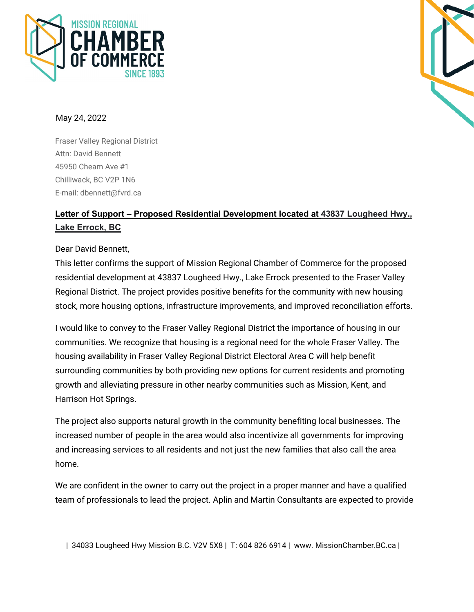



## May 24, 2022

Fraser Valley Regional District Attn: David Bennett 45950 Cheam Ave #1 Chilliwack, BC V2P 1N6 E-mail: dbennett@fvrd.ca

## **Letter of Support – Proposed Residential Development located at 43837 Lougheed Hwy., Lake Errock, BC**

## Dear David Bennett,

This letter confirms the support of Mission Regional Chamber of Commerce for the proposed residential development at 43837 Lougheed Hwy., Lake Errock presented to the Fraser Valley Regional District. The project provides positive benefits for the community with new housing stock, more housing options, infrastructure improvements, and improved reconciliation efforts.

I would like to convey to the Fraser Valley Regional District the importance of housing in our communities. We recognize that housing is a regional need for the whole Fraser Valley. The housing availability in Fraser Valley Regional District Electoral Area C will help benefit surrounding communities by both providing new options for current residents and promoting growth and alleviating pressure in other nearby communities such as Mission, Kent, and Harrison Hot Springs.

The project also supports natural growth in the community benefiting local businesses. The increased number of people in the area would also incentivize all governments for improving and increasing services to all residents and not just the new families that also call the area home.

We are confident in the owner to carry out the project in a proper manner and have a qualified team of professionals to lead the project. Aplin and Martin Consultants are expected to provide

| 34033 Lougheed Hwy Mission B.C. V2V 5X8 | T: 604 826 6914 | www. MissionChamber.BC.ca |